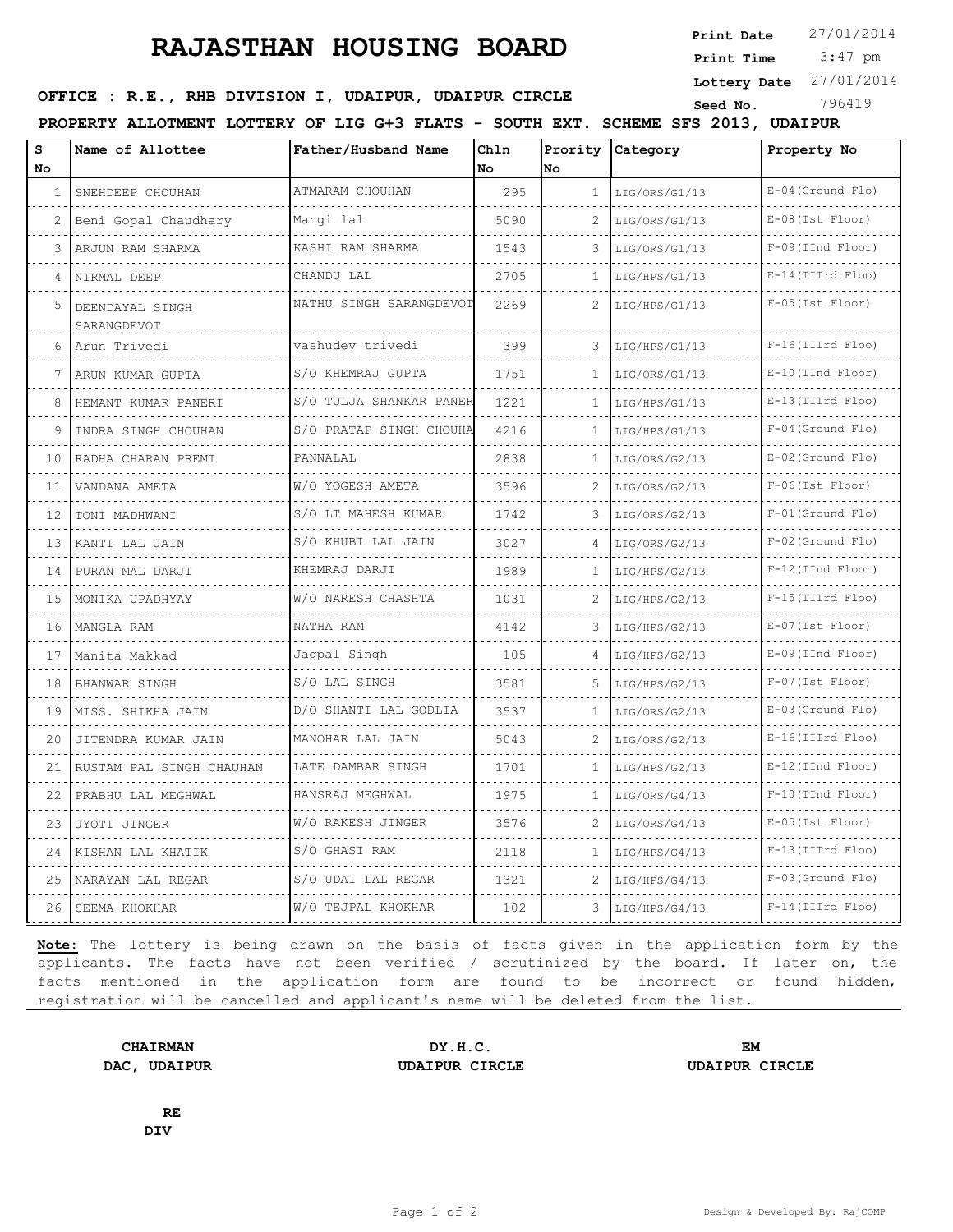## **RAJASTHAN HOUSING BOARD**

**Print Date**  $27/01/2014$ 

 3:47 pm **Print Time**

**Lottery Date** 27/01/2014

|  |  | OFFICE : R.E., RHB DIVISION I, UDAIPUR, UDAIPUR CIRCLE |  |  | Seed No. | 796419 |
|--|--|--------------------------------------------------------|--|--|----------|--------|
|  |  |                                                        |  |  |          |        |

**PROPERTY ALLOTMENT LOTTERY OF LIG G+3 FLATS - SOUTH EXT. SCHEME SFS 2013, UDAIPUR**

| $\mathbf{s}$<br><b>No</b> | Name of Allottee                    | Father/Husband Name     | Chln<br>No. | No            | Prority Category | Property No             |
|---------------------------|-------------------------------------|-------------------------|-------------|---------------|------------------|-------------------------|
| $\mathbf{1}$              | SNEHDEEP CHOUHAN                    | ATMARAM CHOUHAN         | 295         | $\mathbf{1}$  | LIG/ORS/G1/13    | $E-04$ (Ground Flo)     |
|                           | Beni Gopal Chaudhary                | .<br>Mangi lal          | 5090        |               | LIG/ORS/G1/13    | .<br>$E-08$ (Ist Floor) |
| 3                         | ARJUN RAM SHARMA                    | KASHI RAM SHARMA        | 1543        | 3             | LIG/ORS/G1/13    | $F-09$ (IInd Floor)     |
|                           | NIRMAL DEEP                         | CHANDU LAL              | 2705        | 1             | LIG/HPS/G1/13    | $E-14$ (IIIrd Floo)     |
| 5.                        | .<br>DEENDAYAL SINGH<br>SARANGDEVOT | NATHU SINGH SARANGDEVOT | 2269        | $\mathcal{L}$ | LIG/HPS/G1/13    | $F-05$ (Ist Floor)      |
| 6                         | Arun Trivedi                        | vashudev trivedi        | 399         | 3             | LIG/HPS/G1/13    | $F-16$ (IIIrd Floo)     |
|                           | ARUN KUMAR GUPTA                    | S/O KHEMRAJ GUPTA       | 1751        | 1             | LIG/ORS/G1/13    | $E-10$ (IInd Floor)     |
|                           | HEMANT KUMAR PANERI                 | S/O TULJA SHANKAR PANER | 1221        |               | LIG/HPS/G1/13    | $E-13$ (IIIrd Floo)     |
| 9                         | INDRA SINGH CHOUHAN                 | S/O PRATAP SINGH CHOUHA | 4216        | 1             | LIG/HPS/G1/13    | $F-04$ (Ground Flo)     |
| 10                        | RADHA CHARAN PREMI                  | PANNALAL                | 2838        | $\mathbf{1}$  | LIG/ORS/G2/13    | $E-02$ (Ground Flo)     |
| 11                        | VANDANA AMETA                       | W/O YOGESH AMETA<br>.   | 3596        |               | LIG/ORS/G2/13    | $F-06$ (Ist $Floor$ )   |
| 12                        | TONI MADHWANI                       | S/O LT MAHESH KUMAR     | 1742        | 3             | LIG/ORS/G2/13    | $F-01$ (Ground Flo)     |
| 13                        | KANTI LAL JAIN                      | S/O KHUBI LAL JAIN      | 3027        | 4             | LIG/ORS/G2/13    | $F-02$ (Ground Flo)     |
| 14                        | PURAN MAL DARJI                     | KHEMRAJ DARJI<br>.      | 1989        | $\mathbf{1}$  | LIG/HPS/G2/13    | $F-12$ (IInd Floor)     |
| 15                        | MONIKA UPADHYAY                     | W/O NARESH CHASHTA      | 1031        | 2             | LIG/HPS/G2/13    | $F-15$ (IIIrd Floo)     |
| 16                        | MANGLA RAM                          | NATHA RAM               | 4142        | 3             | LIG/HPS/G2/13    | $E-07$ (Ist Floor)      |
| 17                        | Manita Makkad                       | Jaqpal Singh            | 105         | 4             | LIG/HPS/G2/13    | E-09 (IInd Floor)       |
| 18                        | BHANWAR SINGH                       | S/O LAL SINGH           | 3581        | 5.            | LIG/HPS/G2/13    | $F-07$ (Ist Floor)      |
| 19                        | MISS. SHIKHA JAIN                   | D/O SHANTI LAL GODLIA   | 3537        | 1             | LIG/ORS/G2/13    | $E-03$ (Ground Flo)     |
| 20                        | JITENDRA KUMAR JAIN                 | MANOHAR LAL JAIN        | 5043        | 2             | LIG/ORS/G2/13    | $E-16$ (IIIrd Floo)     |
| 21                        | RUSTAM PAL SINGH CHAUHAN            | LATE DAMBAR SINGH<br>.  | 1701        | $\mathbf{1}$  | LIG/HPS/G2/13    | $E-12$ (IInd Floor)     |
| 22                        | PRABHU LAL MEGHWAL                  | HANSRAJ MEGHWAL         | 1975        | 1             | LIG/ORS/G4/13    | $F-10$ (IInd Floor)     |
| 23                        | JYOTI JINGER                        | W/O RAKESH JINGER       | 3576        | 2             | LIG/ORS/G4/13    | $E-05$ (Ist Floor)      |
| 24                        | KISHAN LAL KHATIK                   | S/O GHASI RAM           | 2118        | 1.            | LIG/HPS/G4/13    | $F-13$ (IIIrd Floo)     |
| 25                        | NARAYAN LAL REGAR                   | S/O UDAI LAL REGAR<br>. | 1321        | 2             | LIG/HPS/G4/13    | $F-03$ (Ground Flo)     |
| 26                        | SEEMA KHOKHAR                       | W/O TEJPAL KHOKHAR      | 102         | 3             | LIG/HPS/G4/13    | $F-14$ (IIIrd Floo)     |

**Note:** The lottery is being drawn on the basis of facts given in the application form by the applicants. The facts have not been verified / scrutinized by the board. If later on, the facts mentioned in the application form are found to be incorrect or found hidden, registration will be cancelled and applicant's name will be deleted from the list.

**CHAIRMAN DY.H.C. EM DAC, UDAIPUR UDAIPUR CIRCLE UDAIPUR CIRCLE**

**RE DIV**